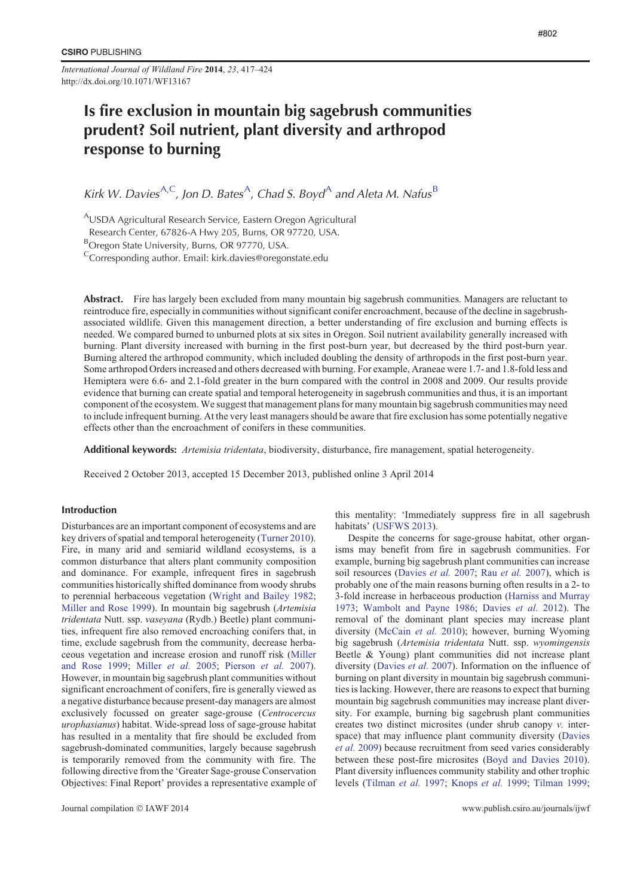*International Journal of Wildland Fire* **2014**, *<sup>23</sup>*, 417–424 http://dx.doi.org/10.1071/WF13167

# Is fire exclusion in mountain big sagebrush communities prudent? Soil nutrient, plant diversity and arthropod response to burning

Kirk W. Davies<sup>A,C</sup>, Jon D. Bates<sup>A</sup>, Chad S. Boyd<sup>A</sup> and Aleta M. Nafus<sup>B</sup>

AUSDA Agricultural Research Service, Eastern Oregon Agricultural

Research Center, 67826-A Hwy 205, Burns, OR 97720, USA.

B<sub>Oregon</sub> State University, Burns, OR 97770, USA.

 $\text{C}$ Corresponding author. Email: kirk.davies@oregonstate.edu

Abstract. Fire has largely been excluded from many mountain big sagebrush communities. Managers are reluctant to reintroduce fire, especially in communities without significant conifer encroachment, because of the decline in sagebrushassociated wildlife. Given this management direction, a better understanding of fire exclusion and burning effects is needed. We compared burned to unburned plots at six sites in Oregon. Soil nutrient availability generally increased with burning. Plant diversity increased with burning in the first post-burn year, but decreased by the third post-burn year. Burning altered the arthropod community, which included doubling the density of arthropods in the first post-burn year. Some arthropod Orders increased and others decreased with burning. For example, Araneae were 1.7- and 1.8-fold less and Hemiptera were 6.6- and 2.1-fold greater in the burn compared with the control in 2008 and 2009. Our results provide evidence that burning can create spatial and temporal heterogeneity in sagebrush communities and thus, it is an important component of the ecosystem. We suggest that management plans for many mountain big sagebrush communities may need to include infrequent burning. At the very least managers should be aware that fire exclusion has some potentially negative effects other than the encroachment of conifers in these communities.

Additional keywords: *Artemisia tridentata*, biodiversity, disturbance, fire management, spatial heterogeneity.

Received 2 October 2013, accepted 15 December 2013, published online 3 April 2014

# Introduction

Disturbances are an important component of ecosystems and are key drivers of spatial and temporal heterogeneity ([Turner 2010](#page-7-0)). Fire, in many arid and semiarid wildland ecosystems, is a common disturbance that alters plant community composition and dominance. For example, infrequent fires in sagebrush communities historically shifted dominance from woody shrubs to perennial herbaceous vegetation ([Wright and Bailey 1982](#page-7-0); [Miller and Rose 1999](#page-6-0)). In mountain big sagebrush (*Artemisia tridentata* Nutt. ssp. *vaseyana* (Rydb.) Beetle) plant communities, infrequent fire also removed encroaching conifers that, in time, exclude sagebrush from the community, decrease herbaceous vegetation and increase erosion and runoff risk [\(Miller](#page-6-0) [and Rose 1999](#page-6-0); [Miller](#page-6-0) *et al.* 2005; [Pierson](#page-6-0) *et al.* 2007). However, in mountain big sagebrush plant communities without significant encroachment of conifers, fire is generally viewed as a negative disturbance because present-day managers are almost exclusively focussed on greater sage-grouse (*Centrocercus urophasianus*) habitat. Wide-spread loss of sage-grouse habitat has resulted in a mentality that fire should be excluded from sagebrush-dominated communities, largely because sagebrush is temporarily removed from the community with fire. The following directive from the 'Greater Sage-grouse Conservation Objectives: Final Report' provides a representative example of this mentality: 'Immediately suppress fire in all sagebrush habitats' [\(USFWS 2013](#page-7-0)).

Despite the concerns for sage-grouse habitat, other organisms may benefit from fire in sagebrush communities. For example, burning big sagebrush plant communities can increase soil resources [\(Davies](#page-6-0) *et al.* 2007; Rau *[et al.](#page-7-0)* 2007), which is probably one of the main reasons burning often results in a 2- to 3-fold increase in herbaceous production [\(Harniss and Murray](#page-6-0) [1973;](#page-6-0) [Wambolt and Payne 1986](#page-7-0); [Davies](#page-6-0) *et al.* 2012). The removal of the dominant plant species may increase plant diversity [\(McCain](#page-6-0) *et al.* 2010); however, burning Wyoming big sagebrush (*Artemisia tridentata* Nutt. ssp. *wyomingensis* Beetle & Young) plant communities did not increase plant diversity [\(Davies](#page-6-0) *et al.* 2007). Information on the influence of burning on plant diversity in mountain big sagebrush communities is lacking. However, there are reasons to expect that burning mountain big sagebrush communities may increase plant diversity. For example, burning big sagebrush plant communities creates two distinct microsites (under shrub canopy *v.* interspace) that may influence plant community diversity ([Davies](#page-6-0) *et al.* [2009](#page-6-0)) because recruitment from seed varies considerably between these post-fire microsites ([Boyd and Davies 2010](#page-6-0)). Plant diversity influences community stability and other trophic levels ([Tilman](#page-7-0) *et al.* 1997; [Knops](#page-6-0) *et al.* 1999; [Tilman 1999](#page-7-0);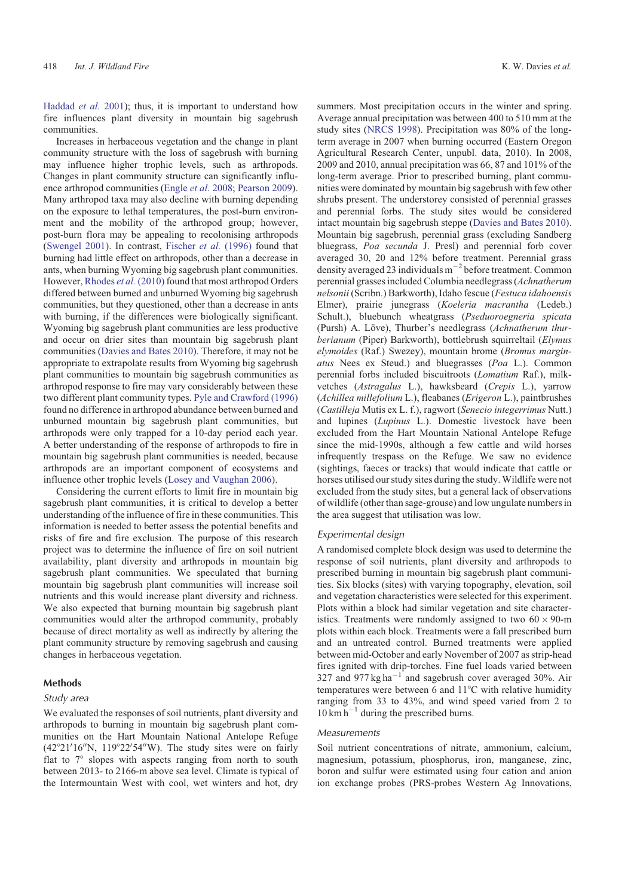[Haddad](#page-6-0) *et al.* 2001); thus, it is important to understand how fire influences plant diversity in mountain big sagebrush communities.

Increases in herbaceous vegetation and the change in plant community structure with the loss of sagebrush with burning may influence higher trophic levels, such as arthropods. Changes in plant community structure can significantly influence arthropod communities [\(Engle](#page-6-0) *et al.* 2008; [Pearson 2009](#page-6-0)). Many arthropod taxa may also decline with burning depending on the exposure to lethal temperatures, the post-burn environment and the mobility of the arthropod group; however, post-burn flora may be appealing to recolonising arthropods ([Swengel 2001](#page-7-0)). In contrast, [Fischer](#page-6-0) *et al.* (1996) found that burning had little effect on arthropods, other than a decrease in ants, when burning Wyoming big sagebrush plant communities. However, [Rhodes](#page-7-0) *et al.* (2010) found that most arthropod Orders differed between burned and unburned Wyoming big sagebrush communities, but they questioned, other than a decrease in ants with burning, if the differences were biologically significant. Wyoming big sagebrush plant communities are less productive and occur on drier sites than mountain big sagebrush plant communities [\(Davies and Bates 2010](#page-6-0)). Therefore, it may not be appropriate to extrapolate results from Wyoming big sagebrush plant communities to mountain big sagebrush communities as arthropod response to fire may vary considerably between these two different plant community types. [Pyle and Crawford \(1996\)](#page-7-0) found no difference in arthropod abundance between burned and unburned mountain big sagebrush plant communities, but arthropods were only trapped for a 10-day period each year. A better understanding of the response of arthropods to fire in mountain big sagebrush plant communities is needed, because arthropods are an important component of ecosystems and influence other trophic levels ([Losey and Vaughan 2006](#page-6-0)).

Considering the current efforts to limit fire in mountain big sagebrush plant communities, it is critical to develop a better understanding of the influence of fire in these communities. This information is needed to better assess the potential benefits and risks of fire and fire exclusion. The purpose of this research project was to determine the influence of fire on soil nutrient availability, plant diversity and arthropods in mountain big sagebrush plant communities. We speculated that burning mountain big sagebrush plant communities will increase soil nutrients and this would increase plant diversity and richness. We also expected that burning mountain big sagebrush plant communities would alter the arthropod community, probably because of direct mortality as well as indirectly by altering the plant community structure by removing sagebrush and causing changes in herbaceous vegetation.

# Methods

# Study area

We evaluated the responses of soil nutrients, plant diversity and arthropods to burning in mountain big sagebrush plant communities on the Hart Mountain National Antelope Refuge  $(42^{\circ}21'16''N, 119^{\circ}22'54''W)$ . The study sites were on fairly flat to  $7^\circ$  slopes with aspects ranging from north to south between 2013- to 2166-m above sea level. Climate is typical of the Intermountain West with cool, wet winters and hot, dry

summers. Most precipitation occurs in the winter and spring. Average annual precipitation was between 400 to 510 mm at the study sites ([NRCS 1998\)](#page-6-0). Precipitation was 80% of the longterm average in 2007 when burning occurred (Eastern Oregon Agricultural Research Center, unpubl. data, 2010). In 2008, 2009 and 2010, annual precipitation was 66, 87 and 101% of the long-term average. Prior to prescribed burning, plant communities were dominated by mountain big sagebrush with few other shrubs present. The understorey consisted of perennial grasses and perennial forbs. The study sites would be considered intact mountain big sagebrush steppe [\(Davies and Bates 2010](#page-6-0)). Mountain big sagebrush, perennial grass (excluding Sandberg bluegrass, *Poa secunda* J. Presl) and perennial forb cover averaged 30, 20 and 12% before treatment. Perennial grass density averaged 23 individuals  $m^{-2}$  before treatment. Common perennial grasses included Columbia needlegrass (*Achnatherum nelsonii* (Scribn.) Barkworth), Idaho fescue (*Festuca idahoensis* Elmer), prairie junegrass (*Koeleria macrantha* (Ledeb.) Schult.), bluebunch wheatgrass (*Pseduoroegneria spicata* (Pursh) A. Löve), Thurber's needlegrass (Achnatherum thur*berianum* (Piper) Barkworth), bottlebrush squirreltail (*Elymus elymoides* (Raf.) Swezey), mountain brome (*Bromus marginatus* Nees ex Steud.) and bluegrasses (*Poa* L.). Common perennial forbs included biscuitroots (*Lomatium* Raf.), milkvetches (*Astragalus* L.), hawksbeard (*Crepis* L.), yarrow (*Achillea millefolium* L.), fleabanes (*Erigeron* L.), paintbrushes (*Castilleja* Mutis ex L. f.), ragwort (*Senecio integerrimus* Nutt.) and lupines (*Lupinus* L.). Domestic livestock have been excluded from the Hart Mountain National Antelope Refuge since the mid-1990s, although a few cattle and wild horses infrequently trespass on the Refuge. We saw no evidence (sightings, faeces or tracks) that would indicate that cattle or horses utilised our study sites during the study. Wildlife were not excluded from the study sites, but a general lack of observations of wildlife (other than sage-grouse) and low ungulate numbers in the area suggest that utilisation was low.

### Experimental design

A randomised complete block design was used to determine the response of soil nutrients, plant diversity and arthropods to prescribed burning in mountain big sagebrush plant communities. Six blocks (sites) with varying topography, elevation, soil and vegetation characteristics were selected for this experiment. Plots within a block had similar vegetation and site characteristics. Treatments were randomly assigned to two  $60 \times 90$ -m plots within each block. Treatments were a fall prescribed burn and an untreated control. Burned treatments were applied between mid-October and early November of 2007 as strip-head fires ignited with drip-torches. Fine fuel loads varied between 327 and 977 kg ha<sup> $-1$ </sup> and sagebrush cover averaged 30%. Air temperatures were between 6 and  $11^{\circ}$ C with relative humidity ranging from 33 to 43%, and wind speed varied from 2 to  $10 \text{ km h}^{-1}$  during the prescribed burns.

#### Measurements

Soil nutrient concentrations of nitrate, ammonium, calcium, magnesium, potassium, phosphorus, iron, manganese, zinc, boron and sulfur were estimated using four cation and anion ion exchange probes (PRS-probes Western Ag Innovations,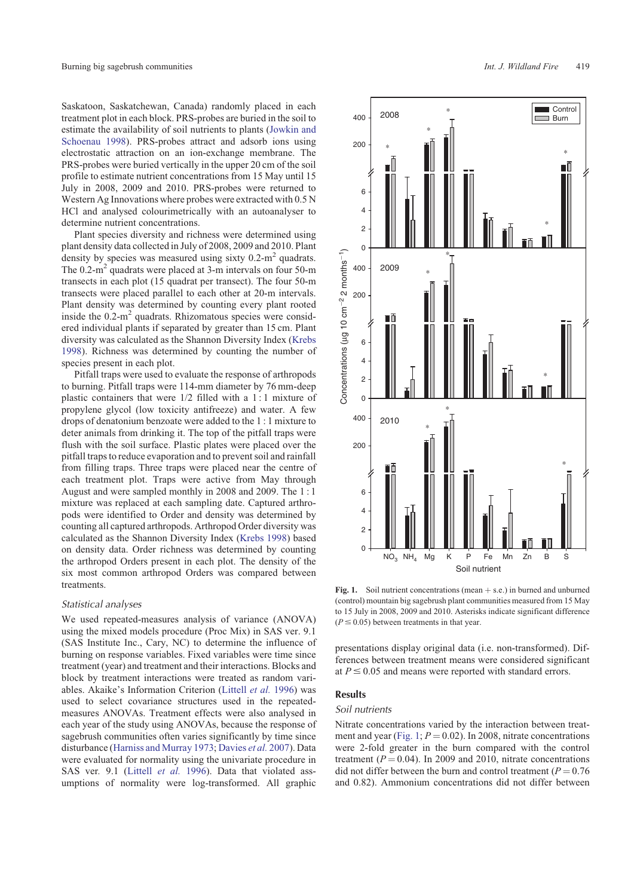Saskatoon, Saskatchewan, Canada) randomly placed in each treatment plot in each block. PRS-probes are buried in the soil to estimate the availability of soil nutrients to plants [\(Jowkin and](#page-6-0) [Schoenau 1998](#page-6-0)). PRS-probes attract and adsorb ions using electrostatic attraction on an ion-exchange membrane. The PRS-probes were buried vertically in the upper 20 cm of the soil profile to estimate nutrient concentrations from 15 May until 15 July in 2008, 2009 and 2010. PRS-probes were returned to Western Ag Innovations where probes were extracted with 0.5 N HCl and analysed colourimetrically with an autoanalyser to determine nutrient concentrations.

Plant species diversity and richness were determined using plant density data collected in July of 2008, 2009 and 2010. Plant density by species was measured using sixty  $0.2 \text{--} m^2$  quadrats. The  $0.2\text{-m}^2$  quadrats were placed at 3-m intervals on four 50-m transects in each plot (15 quadrat per transect). The four 50-m transects were placed parallel to each other at 20-m intervals. Plant density was determined by counting every plant rooted inside the  $0.2\text{-m}^2$  quadrats. Rhizomatous species were considered individual plants if separated by greater than 15 cm. Plant diversity was calculated as the Shannon Diversity Index [\(Krebs](#page-6-0) [1998\)](#page-6-0). Richness was determined by counting the number of species present in each plot.

Pitfall traps were used to evaluate the response of arthropods to burning. Pitfall traps were 114-mm diameter by 76 mm-deep plastic containers that were 1/2 filled with a 1 : 1 mixture of propylene glycol (low toxicity antifreeze) and water. A few drops of denatonium benzoate were added to the 1 : 1 mixture to deter animals from drinking it. The top of the pitfall traps were flush with the soil surface. Plastic plates were placed over the pitfall traps to reduce evaporation and to prevent soil and rainfall from filling traps. Three traps were placed near the centre of each treatment plot. Traps were active from May through August and were sampled monthly in 2008 and 2009. The 1 : 1 mixture was replaced at each sampling date. Captured arthropods were identified to Order and density was determined by counting all captured arthropods. Arthropod Order diversity was calculated as the Shannon Diversity Index [\(Krebs 1998](#page-6-0)) based on density data. Order richness was determined by counting the arthropod Orders present in each plot. The density of the six most common arthropod Orders was compared between treatments.

# Statistical analyses

We used repeated-measures analysis of variance (ANOVA) using the mixed models procedure (Proc Mix) in SAS ver. 9.1 (SAS Institute Inc., Cary, NC) to determine the influence of burning on response variables. Fixed variables were time since treatment (year) and treatment and their interactions. Blocks and block by treatment interactions were treated as random variables. Akaike's Information Criterion [\(Littell](#page-6-0) *et al.* 1996) was used to select covariance structures used in the repeatedmeasures ANOVAs. Treatment effects were also analysed in each year of the study using ANOVAs, because the response of sagebrush communities often varies significantly by time since disturbance [\(Harniss and Murray 1973;](#page-6-0) [Davies](#page-6-0) *et al.* 2007). Data were evaluated for normality using the univariate procedure in SAS ver*.* 9.1 ([Littell](#page-6-0) *et al.* 1996). Data that violated assumptions of normality were log-transformed. All graphic



**Fig. 1.** Soil nutrient concentrations (mean  $+$  s.e.) in burned and unburned (control) mountain big sagebrush plant communities measured from 15 May to 15 July in 2008, 2009 and 2010. Asterisks indicate significant difference  $(P \le 0.05)$  between treatments in that year.

presentations display original data (i.e. non-transformed). Differences between treatment means were considered significant at  $P \le 0.05$  and means were reported with standard errors.

# **Results**

#### Soil nutrients

Nitrate concentrations varied by the interaction between treatment and year (Fig. 1;  $P = 0.02$ ). In 2008, nitrate concentrations were 2-fold greater in the burn compared with the control treatment  $(P = 0.04)$ . In 2009 and 2010, nitrate concentrations did not differ between the burn and control treatment ( $P = 0.76$ ) and 0.82). Ammonium concentrations did not differ between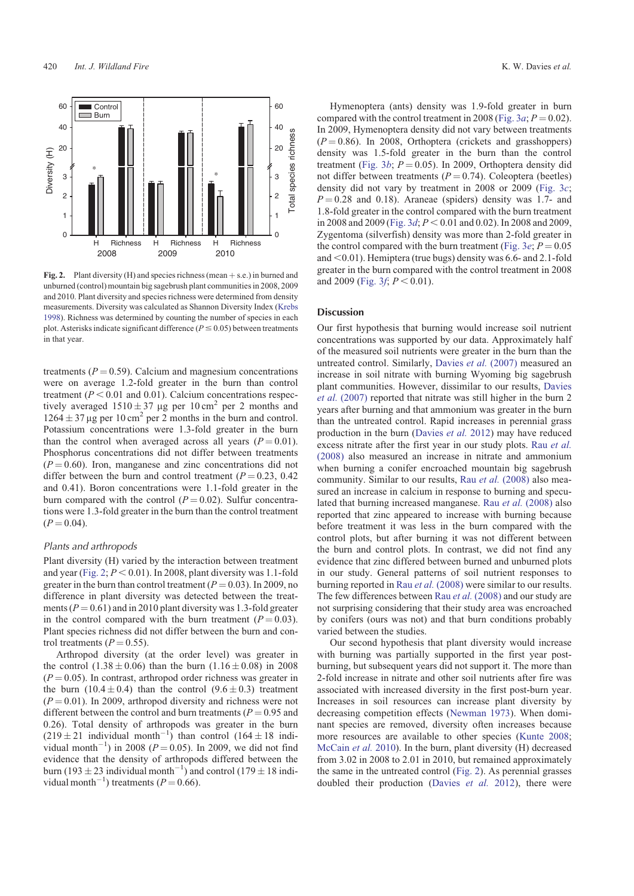

**Fig. 2.** Plant diversity (H) and species richness (mean  $+$  s.e.) in burned and unburned (control) mountain big sagebrush plant communities in 2008, 2009 and 2010. Plant diversity and species richness were determined from density measurements. Diversity was calculated as Shannon Diversity Index ([Krebs](#page-6-0) [1998\)](#page-6-0). Richness was determined by counting the number of species in each plot. Asterisks indicate significant difference ( $P \le 0.05$ ) between treatments in that year.

treatments  $(P = 0.59)$ . Calcium and magnesium concentrations were on average 1.2-fold greater in the burn than control treatment  $(P < 0.01$  and 0.01). Calcium concentrations respectively averaged  $1510 \pm 37$  µg per 10 cm<sup>2</sup> per 2 months and  $1264 \pm 37$  µg per 10 cm<sup>2</sup> per 2 months in the burn and control. Potassium concentrations were 1.3-fold greater in the burn than the control when averaged across all years  $(P = 0.01)$ . Phosphorus concentrations did not differ between treatments  $(P = 0.60)$ . Iron, manganese and zinc concentrations did not differ between the burn and control treatment  $(P = 0.23, 0.42)$ and 0.41). Boron concentrations were 1.1-fold greater in the burn compared with the control  $(P = 0.02)$ . Sulfur concentrations were 1.3-fold greater in the burn than the control treatment  $(P = 0.04)$ .

# Plants and arthropods

Plant diversity (H) varied by the interaction between treatment and year (Fig.  $2$ ;  $P < 0.01$ ). In 2008, plant diversity was 1.1-fold greater in the burn than control treatment  $(P = 0.03)$ . In 2009, no difference in plant diversity was detected between the treatments  $(P = 0.61)$  and in 2010 plant diversity was 1.3-fold greater in the control compared with the burn treatment  $(P = 0.03)$ . Plant species richness did not differ between the burn and control treatments  $(P = 0.55)$ .

Arthropod diversity (at the order level) was greater in the control  $(1.38 \pm 0.06)$  than the burn  $(1.16 \pm 0.08)$  in 2008  $(P = 0.05)$ . In contrast, arthropod order richness was greater in the burn  $(10.4 \pm 0.4)$  than the control  $(9.6 \pm 0.3)$  treatment  $(P = 0.01)$ . In 2009, arthropod diversity and richness were not different between the control and burn treatments  $(P = 0.95$  and 0.26). Total density of arthropods was greater in the burn  $(219 \pm 21 \text{ individual month}^{-1})$  than control  $(164 \pm 18 \text{ indi}^{-1})$ vidual month<sup>-1</sup>) in 2008 ( $P = 0.05$ ). In 2009, we did not find evidence that the density of arthropods differed between the burn (193  $\pm$  23 individual month<sup>-1</sup>) and control (179  $\pm$  18 individual month<sup>-1</sup>) treatments ( $P = 0.66$ ).

Hymenoptera (ants) density was 1.9-fold greater in burn compared with the control treatment in 2008 [\(Fig. 3](#page-4-0)*a*;  $P = 0.02$ ). In 2009, Hymenoptera density did not vary between treatments  $(P = 0.86)$ . In 2008, Orthoptera (crickets and grasshoppers) density was 1.5-fold greater in the burn than the control treatment [\(Fig. 3](#page-4-0)*b*;  $P = 0.05$ ). In 2009, Orthoptera density did not differ between treatments  $(P = 0.74)$ . Coleoptera (beetles) density did not vary by treatment in 2008 or 2009 ([Fig. 3](#page-4-0)*c*;  $P = 0.28$  and 0.18). Araneae (spiders) density was 1.7- and 1.8-fold greater in the control compared with the burn treatment in 2008 and 2009 [\(Fig. 3](#page-4-0)*d*; *P* < 0.01 and 0.02). In 2008 and 2009, Zygentoma (silverfish) density was more than 2-fold greater in the control compared with the burn treatment [\(Fig. 3](#page-4-0)*e*;  $P = 0.05$ ) and  $<$  0.01). Hemiptera (true bugs) density was 6.6- and 2.1-fold greater in the burn compared with the control treatment in 2008 and 2009 (Fig.  $3f$ ;  $P < 0.01$ ).

# Discussion

Our first hypothesis that burning would increase soil nutrient concentrations was supported by our data. Approximately half of the measured soil nutrients were greater in the burn than the untreated control. Similarly, [Davies](#page-6-0) *et al.* (2007) measured an increase in soil nitrate with burning Wyoming big sagebrush plant communities. However, dissimilar to our results, [Davies](#page-6-0) *et al.* [\(2007\)](#page-6-0) reported that nitrate was still higher in the burn 2 years after burning and that ammonium was greater in the burn than the untreated control. Rapid increases in perennial grass production in the burn [\(Davies](#page-6-0) *et al.* 2012) may have reduced excess nitrate after the first year in our study plots. Rau *[et al.](#page-7-0)* [\(2008\)](#page-7-0) also measured an increase in nitrate and ammonium when burning a conifer encroached mountain big sagebrush community. Similar to our results, Rau *et al.* [\(2008\)](#page-7-0) also measured an increase in calcium in response to burning and speculated that burning increased manganese. Rau *et al.* [\(2008\)](#page-7-0) also reported that zinc appeared to increase with burning because before treatment it was less in the burn compared with the control plots, but after burning it was not different between the burn and control plots. In contrast, we did not find any evidence that zinc differed between burned and unburned plots in our study. General patterns of soil nutrient responses to burning reported in Rau *et al.* [\(2008\)](#page-7-0) were similar to our results. The few differences between Rau *et al.* [\(2008\)](#page-7-0) and our study are not surprising considering that their study area was encroached by conifers (ours was not) and that burn conditions probably varied between the studies.

Our second hypothesis that plant diversity would increase with burning was partially supported in the first year postburning, but subsequent years did not support it. The more than 2-fold increase in nitrate and other soil nutrients after fire was associated with increased diversity in the first post-burn year. Increases in soil resources can increase plant diversity by decreasing competition effects ([Newman 1973](#page-6-0)). When dominant species are removed, diversity often increases because more resources are available to other species ([Kunte 2008](#page-6-0); [McCain](#page-6-0) *et al.* 2010). In the burn, plant diversity (H) decreased from 3.02 in 2008 to 2.01 in 2010, but remained approximately the same in the untreated control (Fig. 2). As perennial grasses doubled their production ([Davies](#page-6-0) *et al.* 2012), there were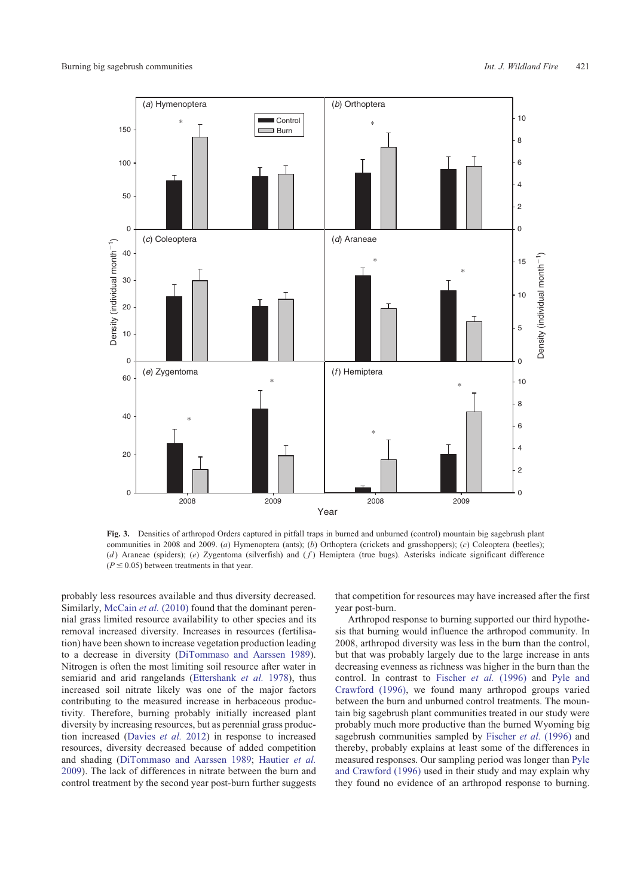<span id="page-4-0"></span>

**Fig. 3.** Densities of arthropod Orders captured in pitfall traps in burned and unburned (control) mountain big sagebrush plant communities in 2008 and 2009. (*a*) Hymenoptera (ants); (*b*) Orthoptera (crickets and grasshoppers); (*c*) Coleoptera (beetles); (*d*) Araneae (spiders); (*e*) Zygentoma (silverfish) and (*f*) Hemiptera (true bugs). Asterisks indicate significant difference  $(P \le 0.05)$  between treatments in that year.

probably less resources available and thus diversity decreased. Similarly, [McCain](#page-6-0) *et al.* (2010) found that the dominant perennial grass limited resource availability to other species and its removal increased diversity. Increases in resources (fertilisation) have been shown to increase vegetation production leading to a decrease in diversity ([DiTommaso and Aarssen 1989](#page-6-0)). Nitrogen is often the most limiting soil resource after water in semiarid and arid rangelands [\(Ettershank](#page-6-0) *et al.* 1978), thus increased soil nitrate likely was one of the major factors contributing to the measured increase in herbaceous productivity. Therefore, burning probably initially increased plant diversity by increasing resources, but as perennial grass production increased ([Davies](#page-6-0) *et al.* 2012) in response to increased resources, diversity decreased because of added competition and shading ([DiTommaso and Aarssen 1989](#page-6-0); [Hautier](#page-6-0) *et al.* [2009\)](#page-6-0). The lack of differences in nitrate between the burn and control treatment by the second year post-burn further suggests that competition for resources may have increased after the first year post-burn.

Arthropod response to burning supported our third hypothesis that burning would influence the arthropod community. In 2008, arthropod diversity was less in the burn than the control, but that was probably largely due to the large increase in ants decreasing evenness as richness was higher in the burn than the control. In contrast to [Fischer](#page-6-0) *et al.* (1996) and [Pyle and](#page-7-0) [Crawford \(1996\)](#page-7-0), we found many arthropod groups varied between the burn and unburned control treatments. The mountain big sagebrush plant communities treated in our study were probably much more productive than the burned Wyoming big sagebrush communities sampled by [Fischer](#page-6-0) *et al.* (1996) and thereby, probably explains at least some of the differences in measured responses. Our sampling period was longer than [Pyle](#page-7-0) [and Crawford \(1996\)](#page-7-0) used in their study and may explain why they found no evidence of an arthropod response to burning.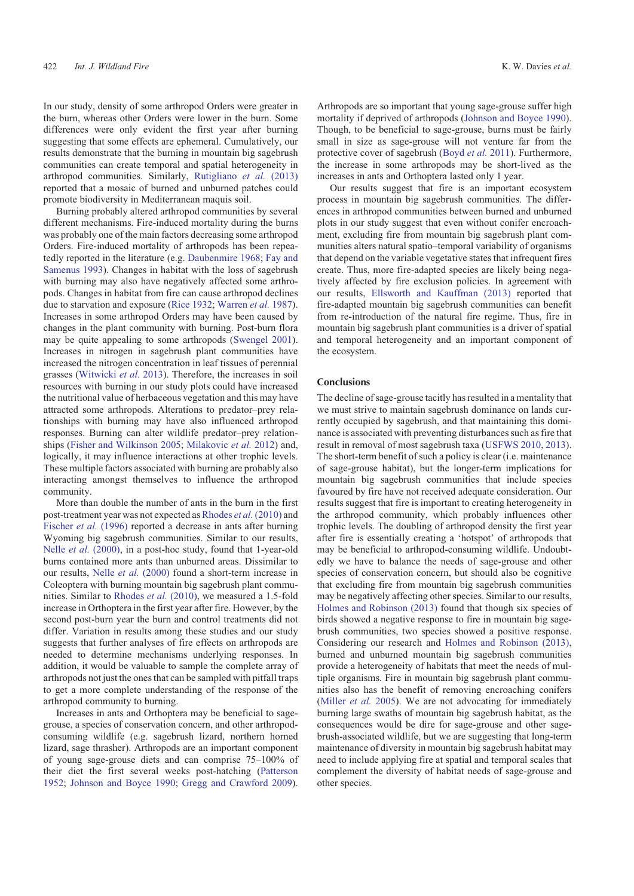In our study, density of some arthropod Orders were greater in the burn, whereas other Orders were lower in the burn. Some differences were only evident the first year after burning suggesting that some effects are ephemeral. Cumulatively, our results demonstrate that the burning in mountain big sagebrush communities can create temporal and spatial heterogeneity in arthropod communities. Similarly, [Rutigliano](#page-7-0) *et al.* (2013) reported that a mosaic of burned and unburned patches could promote biodiversity in Mediterranean maquis soil.

Burning probably altered arthropod communities by several different mechanisms. Fire-induced mortality during the burns was probably one of the main factors decreasing some arthropod Orders. Fire-induced mortality of arthropods has been repeatedly reported in the literature (e.g. [Daubenmire 1968;](#page-6-0) [Fay and](#page-6-0) [Samenus 1993\)](#page-6-0). Changes in habitat with the loss of sagebrush with burning may also have negatively affected some arthropods. Changes in habitat from fire can cause arthropod declines due to starvation and exposure ([Rice 1932](#page-7-0); [Warren](#page-7-0) *et al.* 1987). Increases in some arthropod Orders may have been caused by changes in the plant community with burning. Post-burn flora may be quite appealing to some arthropods [\(Swengel 2001](#page-7-0)). Increases in nitrogen in sagebrush plant communities have increased the nitrogen concentration in leaf tissues of perennial grasses [\(Witwicki](#page-7-0) *et al.* 2013). Therefore, the increases in soil resources with burning in our study plots could have increased the nutritional value of herbaceous vegetation and this may have attracted some arthropods. Alterations to predator–prey relationships with burning may have also influenced arthropod responses. Burning can alter wildlife predator–prey relationships [\(Fisher and Wilkinson 2005;](#page-6-0) [Milakovic](#page-6-0) *et al.* 2012) and, logically, it may influence interactions at other trophic levels. These multiple factors associated with burning are probably also interacting amongst themselves to influence the arthropod community.

More than double the number of ants in the burn in the first post-treatment year was not expected as [Rhodes](#page-7-0) *et al.* (2010) and [Fischer](#page-6-0) *et al.* (1996) reported a decrease in ants after burning Wyoming big sagebrush communities. Similar to our results, Nelle *et al.* [\(2000\),](#page-6-0) in a post-hoc study, found that 1-year-old burns contained more ants than unburned areas. Dissimilar to our results, Nelle *et al.* [\(2000\)](#page-6-0) found a short-term increase in Coleoptera with burning mountain big sagebrush plant communities. Similar to [Rhodes](#page-7-0) *et al.* (2010), we measured a 1.5-fold increase in Orthoptera in the first year after fire. However, by the second post-burn year the burn and control treatments did not differ. Variation in results among these studies and our study suggests that further analyses of fire effects on arthropods are needed to determine mechanisms underlying responses. In addition, it would be valuable to sample the complete array of arthropods not just the ones that can be sampled with pitfall traps to get a more complete understanding of the response of the arthropod community to burning.

Increases in ants and Orthoptera may be beneficial to sagegrouse, a species of conservation concern, and other arthropodconsuming wildlife (e.g. sagebrush lizard, northern horned lizard, sage thrasher). Arthropods are an important component of young sage-grouse diets and can comprise 75–100% of their diet the first several weeks post-hatching ([Patterson](#page-6-0) [1952;](#page-6-0) [Johnson and Boyce 1990;](#page-6-0) [Gregg and Crawford 2009](#page-6-0)).

Arthropods are so important that young sage-grouse suffer high mortality if deprived of arthropods [\(Johnson and Boyce 1990](#page-6-0)). Though, to be beneficial to sage-grouse, burns must be fairly small in size as sage-grouse will not venture far from the protective cover of sagebrush ([Boyd](#page-6-0) *et al.* 2011). Furthermore, the increase in some arthropods may be short-lived as the increases in ants and Orthoptera lasted only 1 year.

Our results suggest that fire is an important ecosystem process in mountain big sagebrush communities. The differences in arthropod communities between burned and unburned plots in our study suggest that even without conifer encroachment, excluding fire from mountain big sagebrush plant communities alters natural spatio–temporal variability of organisms that depend on the variable vegetative states that infrequent fires create. Thus, more fire-adapted species are likely being negatively affected by fire exclusion policies. In agreement with our results, [Ellsworth and Kauffman \(2013\)](#page-6-0) reported that fire-adapted mountain big sagebrush communities can benefit from re-introduction of the natural fire regime. Thus, fire in mountain big sagebrush plant communities is a driver of spatial and temporal heterogeneity and an important component of the ecosystem.

# **Conclusions**

The decline of sage-grouse tacitly has resulted in a mentality that we must strive to maintain sagebrush dominance on lands currently occupied by sagebrush, and that maintaining this dominance is associated with preventing disturbances such as fire that result in removal of most sagebrush taxa ([USFWS 2010](#page-7-0), [2013](#page-7-0)). The short-term benefit of such a policy is clear (i.e. maintenance of sage-grouse habitat), but the longer-term implications for mountain big sagebrush communities that include species favoured by fire have not received adequate consideration. Our results suggest that fire is important to creating heterogeneity in the arthropod community, which probably influences other trophic levels. The doubling of arthropod density the first year after fire is essentially creating a 'hotspot' of arthropods that may be beneficial to arthropod-consuming wildlife. Undoubtedly we have to balance the needs of sage-grouse and other species of conservation concern, but should also be cognitive that excluding fire from mountain big sagebrush communities may be negatively affecting other species. Similar to our results, [Holmes and Robinson \(2013\)](#page-6-0) found that though six species of birds showed a negative response to fire in mountain big sagebrush communities, two species showed a positive response. Considering our research and [Holmes and Robinson \(2013\),](#page-6-0) burned and unburned mountain big sagebrush communities provide a heterogeneity of habitats that meet the needs of multiple organisms. Fire in mountain big sagebrush plant communities also has the benefit of removing encroaching conifers [\(Miller](#page-6-0) *et al.* 2005). We are not advocating for immediately burning large swaths of mountain big sagebrush habitat, as the consequences would be dire for sage-grouse and other sagebrush-associated wildlife, but we are suggesting that long-term maintenance of diversity in mountain big sagebrush habitat may need to include applying fire at spatial and temporal scales that complement the diversity of habitat needs of sage-grouse and other species.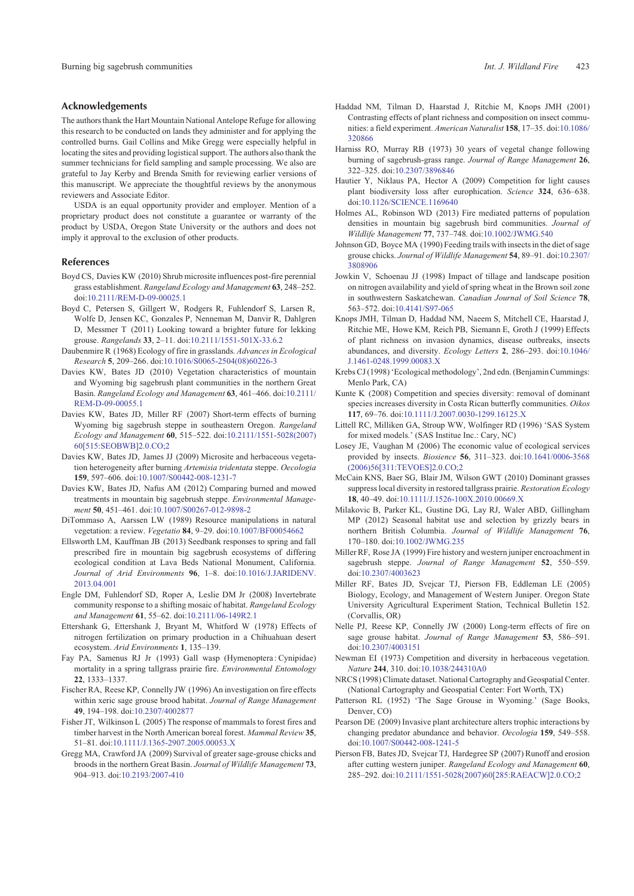#### <span id="page-6-0"></span>Acknowledgements

The authors thank the Hart Mountain National Antelope Refuge for allowing this research to be conducted on lands they administer and for applying the controlled burns. Gail Collins and Mike Gregg were especially helpful in locating the sites and providing logistical support. The authors also thank the summer technicians for field sampling and sample processing. We also are grateful to Jay Kerby and Brenda Smith for reviewing earlier versions of this manuscript. We appreciate the thoughtful reviews by the anonymous reviewers and Associate Editor.

USDA is an equal opportunity provider and employer. Mention of a proprietary product does not constitute a guarantee or warranty of the product by USDA, Oregon State University or the authors and does not imply it approval to the exclusion of other products.

### References

- Boyd CS, Davies KW (2010) Shrub microsite influences post-fire perennial grass establishment. *Rangeland Ecology and Management* **63**, 248–252. doi[:10.2111/REM-D-09-00025.1](http://dx.doi.org/10.2111/REM-D-09-00025.1)
- Boyd C, Petersen S, Gillgert W, Rodgers R, Fuhlendorf S, Larsen R, Wolfe D, Jensen KC, Gonzales P, Nenneman M, Danvir R, Dahlgren D, Messmer T (2011) Looking toward a brighter future for lekking grouse. *Rangelands* **33**, 2–11. doi[:10.2111/1551-501X-33.6.2](http://dx.doi.org/10.2111/1551-501X-33.6.2)
- Daubenmire R (1968) Ecology of fire in grasslands. *Advances in Ecological Research* **5**, 209–266. doi:[10.1016/S0065-2504\(08\)60226-3](http://dx.doi.org/10.1016/S0065-2504(08)60226-3)
- Davies KW, Bates JD (2010) Vegetation characteristics of mountain and Wyoming big sagebrush plant communities in the northern Great Basin. *Rangeland Ecology and Management* **63**, 461–466. doi:[10.2111/](http://dx.doi.org/10.2111/REM-D-09-00055.1) [REM-D-09-00055.1](http://dx.doi.org/10.2111/REM-D-09-00055.1)
- Davies KW, Bates JD, Miller RF (2007) Short-term effects of burning Wyoming big sagebrush steppe in southeastern Oregon. *Rangeland Ecology and Management* **60**, 515–522. doi[:10.2111/1551-5028\(2007\)](http://dx.doi.org/10.2111/1551-5028(2007)60[515:SEOBWB]2.0.CO;2) [60\[515:SEOBWB\]2.0.CO;2](http://dx.doi.org/10.2111/1551-5028(2007)60[515:SEOBWB]2.0.CO;2)
- Davies KW, Bates JD, James JJ (2009) Microsite and herbaceous vegetation heterogeneity after burning *Artemisia tridentata* steppe. *Oecologia* **159**, 597–606. doi[:10.1007/S00442-008-1231-7](http://dx.doi.org/10.1007/S00442-008-1231-7)
- Davies KW, Bates JD, Nafus AM (2012) Comparing burned and mowed treatments in mountain big sagebrush steppe. *Environmental Management* **50**, 451–461. doi:[10.1007/S00267-012-9898-2](http://dx.doi.org/10.1007/S00267-012-9898-2)
- DiTommaso A, Aarssen LW (1989) Resource manipulations in natural vegetation: a review. *Vegetatio* **84**, 9–29. doi:[10.1007/BF00054662](http://dx.doi.org/10.1007/BF00054662)
- Ellsworth LM, Kauffman JB (2013) Seedbank responses to spring and fall prescribed fire in mountain big sagebrush ecosystems of differing ecological condition at Lava Beds National Monument, California. *Journal of Arid Environments* **96**, 1–8. doi[:10.1016/J.JARIDENV.](http://dx.doi.org/10.1016/J.JARIDENV.2013.04.001) [2013.04.001](http://dx.doi.org/10.1016/J.JARIDENV.2013.04.001)
- Engle DM, Fuhlendorf SD, Roper A, Leslie DM Jr (2008) Invertebrate community response to a shifting mosaic of habitat. *Rangeland Ecology and Management* **61**, 55–62. doi:[10.2111/06-149R2.1](http://dx.doi.org/10.2111/06-149R2.1)
- Ettershank G, Ettershank J, Bryant M, Whitford W (1978) Effects of nitrogen fertilization on primary production in a Chihuahuan desert ecosystem. *Arid Environments* **1**, 135–139.
- Fay PA, Samenus RJ Jr (1993) Gall wasp (Hymenoptera : Cynipidae) mortality in a spring tallgrass prairie fire. *Environmental Entomology* **22**, 1333–1337.
- Fischer RA, Reese KP, Connelly JW (1996) An investigation on fire effects within xeric sage grouse brood habitat. *Journal of Range Management* **49**, 194–198. doi[:10.2307/4002877](http://dx.doi.org/10.2307/4002877)
- Fisher JT, Wilkinson L (2005) The response of mammals to forest fires and timber harvest in the North American boreal forest. *Mammal Review* **35**, 51–81. doi[:10.1111/J.1365-2907.2005.00053.X](http://dx.doi.org/10.1111/J.1365-2907.2005.00053.X)
- Gregg MA, Crawford JA (2009) Survival of greater sage-grouse chicks and broods in the northern Great Basin. *Journal of Wildlife Management* **73**, 904–913. doi[:10.2193/2007-410](http://dx.doi.org/10.2193/2007-410)
- Haddad NM, Tilman D, Haarstad J, Ritchie M, Knops JMH (2001) Contrasting effects of plant richness and composition on insect communities: a field experiment. *American Naturalist* **158**, 17–35. doi:[10.1086/](http://dx.doi.org/10.1086/320866) [320866](http://dx.doi.org/10.1086/320866)
- Harniss RO, Murray RB (1973) 30 years of vegetal change following burning of sagebrush-grass range. *Journal of Range Management* **26**, 322–325. doi[:10.2307/3896846](http://dx.doi.org/10.2307/3896846)
- Hautier Y, Niklaus PA, Hector A (2009) Competition for light causes plant biodiversity loss after europhication. *Science* **324**, 636–638. doi[:10.1126/SCIENCE.1169640](http://dx.doi.org/10.1126/SCIENCE.1169640)
- Holmes AL, Robinson WD (2013) Fire mediated patterns of population densities in mountain big sagebrush bird communities. *Journal of Wildlife Management* **77**, 737–748. doi[:10.1002/JWMG.540](http://dx.doi.org/10.1002/JWMG.540)
- Johnson GD, Boyce MA (1990) Feeding trails with insects in the diet of sage grouse chicks. *Journal of Wildlife Management* **54**, 89–91. doi:[10.2307/](http://dx.doi.org/10.2307/3808906) [3808906](http://dx.doi.org/10.2307/3808906)
- Jowkin V, Schoenau JJ (1998) Impact of tillage and landscape position on nitrogen availability and yield of spring wheat in the Brown soil zone in southwestern Saskatchewan. *Canadian Journal of Soil Science* **78**, 563–572. doi[:10.4141/S97-065](http://dx.doi.org/10.4141/S97-065)
- Knops JMH, Tilman D, Haddad NM, Naeem S, Mitchell CE, Haarstad J, Ritchie ME, Howe KM, Reich PB, Siemann E, Groth J (1999) Effects of plant richness on invasion dynamics, disease outbreaks, insects abundances, and diversity. *Ecology Letters* **2**, 286–293. doi:[10.1046/](http://dx.doi.org/10.1046/J.1461-0248.1999.00083.X) [J.1461-0248.1999.00083.X](http://dx.doi.org/10.1046/J.1461-0248.1999.00083.X)
- Krebs CJ (1998) 'Ecological methodology', 2nd edn. (Benjamin Cummings: Menlo Park, CA)
- Kunte K (2008) Competition and species diversity: removal of dominant species increases diversity in Costa Rican butterfly communities. *Oikos* **117**, 69–76. doi[:10.1111/J.2007.0030-1299.16125.X](http://dx.doi.org/10.1111/J.2007.0030-1299.16125.X)
- Littell RC, Milliken GA, Stroup WW, Wolfinger RD (1996) 'SAS System for mixed models.' (SAS Institue Inc.: Cary, NC)
- Losey JE, Vaughan M (2006) The economic value of ecological services provided by insects. *Biosience* **56**, 311–323. doi[:10.1641/0006-3568](http://dx.doi.org/10.1641/0006-3568(2006)56[311:TEVOES]2.0.CO;2) [\(2006\)56\[311:TEVOES\]2.0.CO;2](http://dx.doi.org/10.1641/0006-3568(2006)56[311:TEVOES]2.0.CO;2)
- McCain KNS, Baer SG, Blair JM, Wilson GWT (2010) Dominant grasses suppress local diversity in restored tallgrass prairie. *Restoration Ecology* **18**, 40–49. doi[:10.1111/J.1526-100X.2010.00669.X](http://dx.doi.org/10.1111/J.1526-100X.2010.00669.X)
- Milakovic B, Parker KL, Gustine DG, Lay RJ, Waler ABD, Gillingham MP (2012) Seasonal habitat use and selection by grizzly bears in northern British Columbia. *Journal of Wildlife Management* **76**, 170–180. doi[:10.1002/JWMG.235](http://dx.doi.org/10.1002/JWMG.235)
- Miller RF, Rose JA (1999) Fire history and western juniper encroachment in sagebrush steppe. *Journal of Range Management* **52**, 550–559. doi[:10.2307/4003623](http://dx.doi.org/10.2307/4003623)
- Miller RF, Bates JD, Svejcar TJ, Pierson FB, Eddleman LE (2005) Biology, Ecology, and Management of Western Juniper. Oregon State University Agricultural Experiment Station, Technical Bulletin 152. (Corvallis, OR)
- Nelle PJ, Reese KP, Connelly JW (2000) Long-term effects of fire on sage grouse habitat. *Journal of Range Management* **53**, 586–591. doi[:10.2307/4003151](http://dx.doi.org/10.2307/4003151)
- Newman EI (1973) Competition and diversity in herbaceous vegetation. *Nature* **<sup>244</sup>**, 310. doi[:10.1038/244310A0](http://dx.doi.org/10.1038/244310A0)
- NRCS (1998) Climate dataset. National Cartography and Geospatial Center. (National Cartography and Geospatial Center: Fort Worth, TX)
- Patterson RL (1952) 'The Sage Grouse in Wyoming.' (Sage Books, Denver, CO)
- Pearson DE (2009) Invasive plant architecture alters trophic interactions by changing predator abundance and behavior. *Oecologia* **159**, 549–558. doi[:10.1007/S00442-008-1241-5](http://dx.doi.org/10.1007/S00442-008-1241-5)
- Pierson FB, Bates JD, Svejcar TJ, Hardegree SP (2007) Runoff and erosion after cutting western juniper. *Rangeland Ecology and Management* **60**, 285–292. doi[:10.2111/1551-5028\(2007\)60\[285:RAEACW\]2.0.CO;2](http://dx.doi.org/10.2111/1551-5028(2007)60[285:RAEACW]2.0.CO;2)